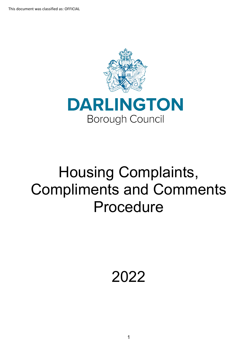

# Housing Complaints, Compliments and Comments Procedure

2022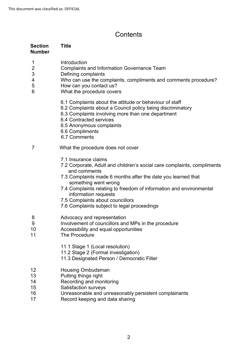## **Contents**

| <b>Section</b><br><b>Number</b>                                | <b>Title</b>                                                                                                                                                                                                                                                                                                                                                                              |
|----------------------------------------------------------------|-------------------------------------------------------------------------------------------------------------------------------------------------------------------------------------------------------------------------------------------------------------------------------------------------------------------------------------------------------------------------------------------|
| 1<br>$\overline{c}$<br>3<br>$\overline{\mathcal{A}}$<br>5<br>6 | Introduction<br><b>Complaints and Information Governance Team</b><br>Defining complaints<br>Who can use the complaints, compliments and comments procedure?<br>How can you contact us?<br>What the procedure covers                                                                                                                                                                       |
|                                                                | 6.1 Complaints about the attitude or behaviour of staff<br>6.2 Complaints about a Council policy being discriminatory<br>6.3 Complaints involving more than one department<br>6.4 Contracted services<br>6.5 Anonymous complaints<br>6.6 Compliments<br>6.7 Comments                                                                                                                      |
| 7                                                              | What the procedure does not cover                                                                                                                                                                                                                                                                                                                                                         |
|                                                                | 7.1 Insurance claims<br>7.2 Corporate, Adult and children's social care complaints, compliments<br>and comments<br>7.3 Complaints made 6 months after the date you learned that<br>something went wrong<br>7.4 Complaints relating to freedom of information and environmental<br>information requests<br>7.5 Complaints about councillors<br>7.6 Complaints subject to legal proceedings |
| 8<br>9<br>10<br>11                                             | Advocacy and representation<br>Involvement of councillors and MPs in the procedure<br>Accessibility and equal opportunities<br>The Procedure                                                                                                                                                                                                                                              |
|                                                                | 11.1 Stage 1 (Local resolution)<br>11.2 Stage 2 (Formal investigation)<br>11.3 Designated Person / Democratic Filter                                                                                                                                                                                                                                                                      |
| 12<br>13<br>14<br>15<br>16<br>17                               | <b>Housing Ombudsman</b><br>Putting things right<br>Recording and monitoring<br><b>Satisfaction surveys</b><br>Unreasonable and unreasonably persistent complainants<br>Record keeping and data sharing                                                                                                                                                                                   |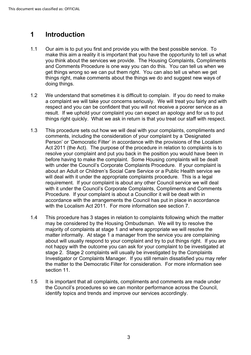#### **1 Introduction**

- make this aim a reality it is important that you have the opportunity to tell us what get things wrong so we can put them right. You can also tell us when we get 1.1 Our aim is to put you first and provide you with the best possible service. To you think about the services we provide. The Housing Complaints, Compliments and Comments Procedure is one way you can do this. You can tell us when we things right, make comments about the things we do and suggest new ways of doing things.
- We understand that sometimes it is difficult to complain. If you do need to make result. If we uphold your complaint you can expect an apology and for us to put 1.2 a complaint we will take your concerns seriously. We will treat you fairly and with respect and you can be confident that you will not receive a poorer service as a things right quickly. What we ask in return is that you treat our staff with respect.
- Act 2011 (the Act). The purpose of the procedure in relation to complaints is to before having to make the complaint. Some Housing complaints will be dealt 1.3 This procedure sets out how we will deal with your complaints, compliments and comments, including the consideration of your complaint by a 'Designated Person' or 'Democratic Filter' in accordance with the provisions of the Localism resolve your complaint and put you back in the position you would have been in with under the Council's Corporate Complaints Procedure. If your complaint is about an Adult or Children's Social Care Service or a Public Health service we will deal with it under the appropriate complaints procedure. This is a legal requirement. If your complaint is about any other Council service we will deal with it under the Council's Corporate Complaints, Compliments and Comments Procedure. If your complaint is about a Councillor it will be dealt with in accordance with the arrangements the Council has put in place in accordance with the Localism Act 2011. For more information see section 7
- matter informally. At stage 1 a manager from the service you are complaining about will usually respond to your complaint and try to put things right. If you are not happy with the outcome you can ask for your complaint to be investigated at Investigator or Complaints Manager. If you still remain dissatisfied you may refer the matter to the Democratic Filter for consideration. For more information see 1.4 This procedure has 3 stages in relation to complaints following which the matter may be considered by the Housing Ombudsman. We will try to resolve the majority of complaints at stage 1 and where appropriate we will resolve the stage 2. Stage 2 complaints will usually be investigated by the Complaints section 11.
- 1.5 It is important that all complaints, compliments and comments are made under the Council's procedures so we can monitor performance across the Council, identify topics and trends and improve our services accordingly.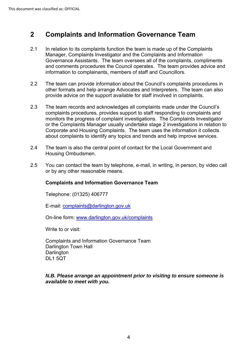#### **2 Complaints and Information Governance Team**

- In relation to its complaints function the team is made up of the Complaints 2.1 Manager, Complaints Investigator and the Complaints and Information Governance Assistants. The team oversees all of the complaints, compliments and comments procedures the Council operates. The team provides advice and information to complainants, members of staff and Councillors.
- provide advice on the support available for staff involved in complaints. 2.2 The team can provide information about the Council's complaints procedures in other formats and help arrange Advocates and Interpreters. The team can also
- The team records and acknowledges all complaints made under the Council's about complaints to identify any topics and trends and help improve services. 2.3 complaints procedures, provides support to staff responding to complaints and monitors the progress of complaint investigations. The Complaints Investigator or the Complaints Manager usually undertake stage 2 investigations in relation to Corporate and Housing Complaints. The team uses the information it collects
- Housing Ombudsmen. 2.4 The team is also the central point of contact for the Local Government and  $\overline{\phantom{a}}$
- 2.5 You can contact the team by telephone, e-mail, in writing, in person, by video call or by any other reasonable means.

#### **Complaints and Information Governance Team**

Telephone: (01325) 406777

E-mail: [complaints@darlington.gov.uk](mailto:feedback@darlington.gov.uk?subject=feedback@darlington.gov.uk) 

On-line form: [www.darlington.gov.uk/complaints](http://www.darlington.gov.uk/complaints) 

Write to or visit:

Complaints and Information Governance Team Darlington Town Hall **Darlington** DL1 5QT

#### *N.B. Please arrange an appointment prior to visiting to ensure someone is available to meet with you.*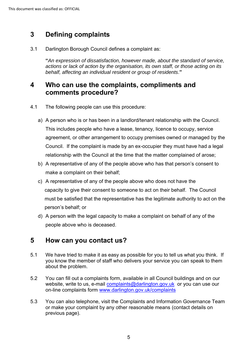## **3 Defining complaints**

3.1 Darlington Borough Council defines a complaint as:

**"***An expression of dissatisfaction, however made, about the standard of service, actions or lack of action by the organisation, its own staff, or those acting on its behalf, affecting an individual resident or group of residents*.**"**

## **4 Who can use the complaints, compliments and comments procedure?**

- 4.1 The following people can use this procedure:
	- This includes people who have a lease, tenancy, licence to occupy, service Council. If the complaint is made by an ex-occupier they must have had a legal a) A person who is or has been in a landlord/tenant relationship with the Council. agreement, or other arrangement to occupy premises owned or managed by the relationship with the Council at the time that the matter complained of arose;
	- b) A representative of any of the people above who has that person's consent to make a complaint on their behalf;
	- c) A representative of any of the people above who does not have the capacity to give their consent to someone to act on their behalf. The Council must be satisfied that the representative has the legitimate authority to act on the person's behalf; or
	- d) A person with the legal capacity to make a complaint on behalf of any of the people above who is deceased.

## **5 How can you contact us?**

- 5.1 We have tried to make it as easy as possible for you to tell us what you think. If you know the member of staff who delivers your service you can speak to them about the problem.
- website, write to us, e-mail <u>complaints@darlington.gov.uk</u> or you can use our 5.2 You can fill out a complaints form, available in all Council buildings and on our on-line complaints form [www.darlington.gov.uk/complaints](http://www.darlington.gov.uk/feedback)
- 5.3 You can also telephone, visit the Complaints and Information Governance Team or make your complaint by any other reasonable means (contact details on previous page).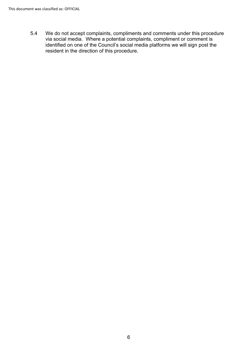5.4 We do not accept complaints, compliments and comments under this procedure via social media. Where a potential complaints, compliment or comment is identified on one of the Council's social media platforms we will sign post the resident in the direction of this procedure.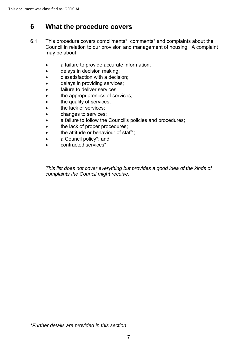# **6 What the procedure covers**

- Council in relation to our provision and management of housing. A complaint 6.1 This procedure covers compliments\*, comments\* and complaints about the may be about:
	- a failure to provide accurate information;
	- delays in decision making;
	- dissatisfaction with a decision;
	- delays in providing services;
	- failure to deliver services;
	- the appropriateness of services;
	- the quality of services;
	- the lack of services;
	- changes to services;
	- a failure to follow the Council's policies and procedures;
	- the lack of proper procedures;
	- the attitude or behaviour of staff\*;
	- a Council policy\*; and
	- contracted services\*;

*This list does not cover everything but provides a good idea of the kinds of complaints the Council might receive.*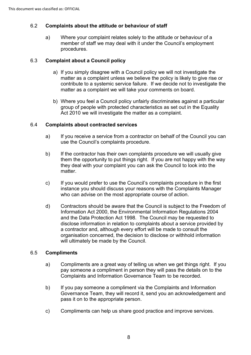## 6.2 **Complaints about the attitude or behaviour of staff**

a) Where your complaint relates solely to the attitude or behaviour of a member of staff we may deal with it under the Council's employment procedures.

#### 6.3 **Complaint about a Council policy**

- contribute to a systemic service failure. If we decide not to investigate the a) If you simply disagree with a Council policy we will not investigate the matter as a complaint unless we believe the policy is likely to give rise or matter as a complaint we will take your comments on board.
- b) Where you feel a Council policy unfairly discriminates against a particular group of people with protected characteristics as set out in the Equality Act 2010 we will investigate the matter as a complaint.

## 6.4 **Complaints about contracted services**

- a) If you receive a service from a contractor on behalf of the Council you can use the Council's complaints procedure.
- b) If the contractor has their own complaints procedure we will usually give them the opportunity to put things right. If you are not happy with the way they deal with your complaint you can ask the Council to look into the matter.
- c) If you would prefer to use the Council's complaints procedure in the first instance you should discuss your reasons with the Complaints Manager who can advise on the most appropriate course of action.
- d) Contractors should be aware that the Council is subject to the Freedom of and the Data Protection Act 1998. The Council may be requested to Information Act 2000, the Environmental Information Regulations 2004 disclose information in relation to complaints about a service provided by a contractor and, although every effort will be made to consult the organisation concerned, the decision to disclose or withhold information will ultimately be made by the Council.

#### 6.5 **Compliments**

- pay someone a compliment in person they will pass the details on to the Complaints and Information Governance Team to be recorded. a) Compliments are a great way of telling us when we get things right. If you
- b) If you pay someone a compliment via the Complaints and Information Governance Team, they will record it, send you an acknowledgement and pass it on to the appropriate person.
- c) Compliments can help us share good practice and improve services.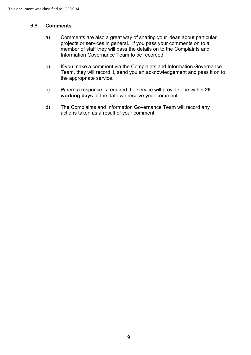#### 6.6 **Comments**

- projects or services in general. If you pass your comments on to a a) Comments are also a great way of sharing your ideas about particular member of staff they will pass the details on to the Complaints and Information Governance Team to be recorded.
- b) If you make a comment via the Complaints and Information Governance Team, they will record it, send you an acknowledgement and pass it on to the appropriate service.
- c) Where a response is required the service will provide one within **25 working days** of the date we receive your comment.
- d) The Complaints and Information Governance Team will record any actions taken as a result of your comment.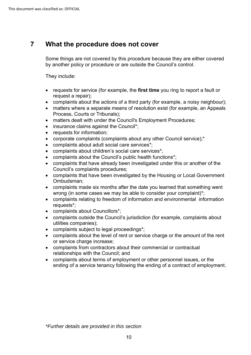## **7 What the procedure does not cover**

Some things are not covered by this procedure because they are either covered by another policy or procedure or are outside the Council's control.

They include:

- requests for service (for example, the **first time** you ring to report a fault or request a repair);
- complaints about the actions of a third party (for example, a noisy neighbour);
- matters where a separate means of resolution exist (for example, an Appeals Process, Courts or Tribunals);
- matters dealt with under the Council's Employment Procedures;
- insurance claims against the Council\*;
- requests for information;
- corporate complaints (complaints about any other Council service);\*
- complaints about adult social care services\*;
- complaints about children's social care services\*;
- complaints about the Council's public health functions\*;
- complaints that have already been investigated under this or another of the Council's complaints procedures;
- complaints that have been investigated by the Housing or Local Government Ombudsman;
- complaints made six months after the date you learned that something went wrong (in some cases we may be able to consider your complaint)\*;
- • complaints relating to freedom of information and environmental information requests\*;
- complaints about Councillors\*;
- complaints outside the Council's jurisdiction (for example, complaints about utilities companies);
- complaints subject to legal proceedings\*;
- • complaints about the level of rent or service charge or the amount of the rent or service charge increase;
- complaints from contractors about their commercial or contractual relationships with the Council; and
- complaints about terms of employment or other personnel issues, or the ending of a service tenancy following the ending of a contract of employment.

*\*Further details are provided in this section*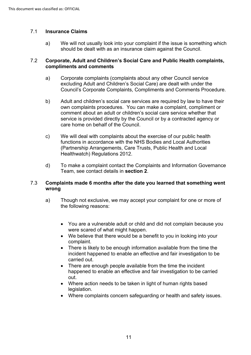#### 7.1 **Insurance Claims**

 a) We will not usually look into your complaint if the issue is something which should be dealt with as an insurance claim against the Council.

#### 7.2 **Corporate, Adult and Children's Social Care and Public Health complaints, compliments and comments**

- a) Corporate complaints (complaints about any other Council service excluding Adult and Children's Social Care) are dealt with under the Council's Corporate Complaints, Compliments and Comments Procedure.
- b) Adult and children's social care services are required by law to have their own complaints procedures. You can make a complaint, compliment or comment about an adult or children's social care service whether that service is provided directly by the Council or by a contracted agency or care home on behalf of the Council.
- We will deal with complaints about the exercise of our public health (Partnership Arrangements, Care Trusts, Public Health and Local c) We will deal with complaints about the exercise of our public health functions in accordance with the NHS Bodies and Local Authorities Healthwatch) Regulations 2012.
- d) To make a complaint contact the Complaints and Information Governance Team, see contact details in **section 2**.

#### 7.3 **Complaints made 6 months after the date you learned that something went wrong**

- a) Though not exclusive, we may accept your complaint for one or more of the following reasons:
	- You are a vulnerable adult or child and did not complain because you were scared of what might happen.
	- • We believe that there would be a benefit to you in looking into your complaint.
	- incident happened to enable an effective and fair investigation to be • There is likely to be enough information available from the time the carried out.
	- happened to enable an effective and fair investigation to be carried • There are enough people available from the time the incident out.
	- Where action needs to be taken in light of human rights based legislation.
	- Where complaints concern safeguarding or health and safety issues.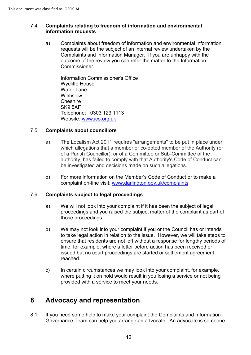## 7.4 **Complaints relating to freedom of information and environmental information requests**

 requests will be the subject of an internal review undertaken by the outcome of the review you can refer the matter to the Information a) Complaints about freedom of information and environmental information Complaints and Information Manager. If you are unhappy with the Commissioner.

 Telephone: 0303 123 1113 Information Commissioner's Office Wycliffe House Water Lane Wilmslow **Cheshire** SK9 5AF Website: [www.ico.org.uk](http://www.ico.org.uk/) 

## 7.5 **Complaints about councillors**

- a) The Localism Act 2011 requires "arrangements" to be put in place under of a Parish Councillor), or of a Committee or Sub-Committee of the which allegations that a member or co-opted member of the Authority (or authority, has failed to comply with that Authority's Code of Conduct can be investigated and decisions made on such allegations.
- b) For more information on the Member's Code of Conduct or to make a complaint on-line visit: [www.darlington.gov.uk/complaints](http://www.darlington.gov.uk/feedback)

#### 7.6 **Complaints subject to legal proceedings**

- a) We will not look into your complaint if it has been the subject of legal proceedings and you raised the subject matter of the complaint as part of those proceedings.
- b) We may not look into your complaint if you or the Council has or intends to take legal action in relation to the issue. However, we will take steps to ensure that residents are not left without a response for lengthy periods of time, for example, where a letter before action has been received or issued but no court proceedings are started or settlement agreement reached.
- c) In certain circumstances we may look into your complaint, for example, where putting it on hold would result in you losing a service or not being provided with a service to meet your needs.

## **8 Advocacy and representation**

 Governance Team can help you arrange an advocate. An advocate is someone 8.1 If you need some help to make your complaint the Complaints and Information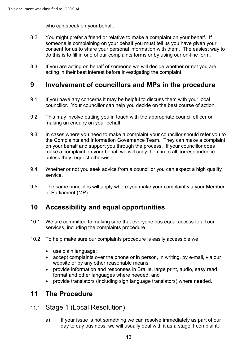who can speak on your behalf.

- 8.2 You might prefer a friend or relative to make a complaint on your behalf. If someone is complaining on your behalf you must tell us you have given your consent for us to share your personal information with them. The easiest way to do this is to fill in one of our complaints forms or by using our on-line form.
- 8.3 If you are acting on behalf of someone we will decide whether or not you are acting in their best interest before investigating the complaint.

## **9 Involvement of councillors and MPs in the procedure**

- 9.1 If you have any concerns it may be helpful to discuss them with your local councillor. Your councillor can help you decide on the best course of action.
- 9.2 This may involve putting you in touch with the appropriate council officer or making an enquiry on your behalf.
- 9.3 In cases where you need to make a complaint your councillor should refer you to the Complaints and Information Governance Team. They can make a complaint on your behalf and support you through the process. If your councillor does make a complaint on your behalf we will copy them in to all correspondence unless they request otherwise.
- 9.4 Whether or not you seek advice from a councillor you can expect a high quality service.
- 9.5 The same principles will apply where you make your complaint via your Member of Parliament (MP).

# **10 Accessibility and equal opportunities**

- 10.1 We are committed to making sure that everyone has equal access to all our services, including the complaints procedure.
- 10.2 To help make sure our complaints procedure is easily accessible we:
	- use plain language;
	- • accept complaints over the phone or in person, in writing, by e-mail, via our website or by any other reasonable means;
	- • provide information and responses in Braille, large print, audio, easy read format and other languages where needed; and
	- provide translators (including sign language translators) where needed.

## **11 The Procedure**

## 11.1 Stage 1 (Local Resolution)

a) If your issue is not something we can resolve immediately as part of our day to day business, we will usually deal with it as a stage 1 complaint.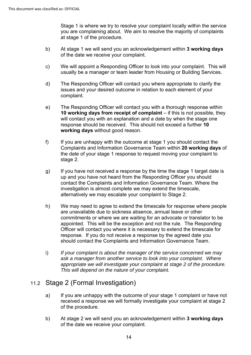Stage 1 is where we try to resolve your complaint locally within the service you are complaining about. We aim to resolve the majority of complaints at stage 1 of the procedure.

- b) At stage 1 we will send you an acknowledgement within **3 working days**  of the date we receive your complaint.
- c) We will appoint a Responding Officer to look into your complaint. This will usually be a manager or team leader from Housing or Building Services.
- d) The Responding Officer will contact you where appropriate to clarify the issues and your desired outcome in relation to each element of your complaint.
- e) The Responding Officer will contact you with a thorough response within **10 working days from receipt of complaint** – if this is not possible, they will contact you with an explanation and a date by when the stage one response should be received. This should not exceed a further **10 working days** without good reason.
- Complaints and Information Governance Team within **20 working days** of f) If you are unhappy with the outcome at stage 1 you should contact the the date of your stage 1 response to request moving your complaint to stage 2.
- g) If you have not received a response by the time the stage 1 target date is up and you have not heard from the Responding Officer you should contact the Complaints and Information Governance Team. Where the investigation is almost complete we may extend the timescale, alternatively we may escalate your complaint to Stage 2.
- h) We may need to agree to extend the timescale for response where people are unavailable due to sickness absence, annual leave or other commitments or where we are waiting for an advocate or translator to be appointed. This will be the exception and not the rule. The Responding Officer will contact you where it is necessary to extend the timescale for response. If you do not receive a response by the agreed date you should contact the Complaints and Information Governance Team.
- appropriate we will investigate your complaint at stage 2 of the procedure. i) *If your complaint is about the manager of the service concerned we may ask a manager from another service to look into your complaint. Where This will depend on the nature of your complaint.*

## 11.2 Stage 2 (Formal Investigation)

- received a response we will formally investigate your complaint at stage 2 a) If you are unhappy with the outcome of your stage 1 complaint or have not of the procedure.
- b) At stage 2 we will send you an acknowledgement within **3 working days**  of the date we receive your complaint.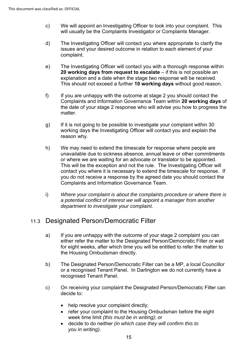- c) We will appoint an Investigating Officer to look into your complaint. This will usually be the Complaints Investigator or Complaints Manager.
- d) The Investigating Officer will contact you where appropriate to clarify the issues and your desired outcome in relation to each element of your complaint.
- e) The Investigating Officer will contact you with a thorough response within **20 working days from request to escalate** – if this is not possible an explanation and a date when the stage two response will be received. This should not exceed a further **10 working days** without good reason.
- the date of your stage 2 response who will advise you how to progress the f) If you are unhappy with the outcome at stage 2 you should contact the Complaints and Information Governance Team within **20 working days** of matter.
- g) If it is not going to be possible to investigate your complaint within 30 working days the Investigating Officer will contact you and explain the reason why.
- h) We may need to extend the timescale for response where people are or where we are waiting for an advocate or translator to be appointed. This will be the exception and not the rule. The Investigating Officer will Complaints and Information Governance Team. unavailable due to sickness absence, annual leave or other commitments contact you where it is necessary to extend the timescale for response. If you do not receive a response by the agreed date you should contact the
- i) *Where your complaint is about the complaints procedure or where there is a potential conflict of interest we will appoint a manager from another department to investigate your complaint.*

## 11.3 Designated Person/Democratic Filter

- a) If you are unhappy with the outcome of your stage 2 complaint you can for eight weeks, after which time you will be entitled to refer the matter to either refer the matter to the Designated Person/Democratic Filter or wait the Housing Ombudsman directly.
- b) The Designated Person/Democratic Filter can be a MP, a local Councillor or a recognised Tenant Panel. In Darlington we do not currently have a recognised Tenant Panel.
- c) On receiving your complaint the Designated Person/Democratic Filter can decide to:
	- help resolve your complaint directly;
	- refer your complaint to the Housing Ombudsman before the eight week time limit *(this must be in writing)*; or
	- • decide to do neither *(in which case they will confirm this to you in writing)*.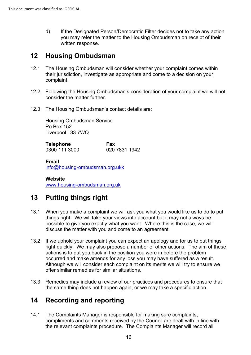d) If the Designated Person/Democratic Filter decides not to take any action you may refer the matter to the Housing Ombudsman on receipt of their written response.

## **12 Housing Ombudsman**

- 12.1 The Housing Ombudsman will consider whether your complaint comes within their jurisdiction, investigate as appropriate and come to a decision on your complaint.
- 12.2 Following the Housing Ombudsman's consideration of your complaint we will not consider the matter further.
- 12.3 The Housing Ombudsman's contact details are:

Housing Ombudsman Service Po Box 152 Liverpool L33 7WQ

**Telephone**  0300 111 3000 **Fax**  020 7831 1942

**Email** 

[info@housing-ombudsman.org.ukk](mailto:info@housing-ombudsman.org.ukk) 

**Website**  [www.housing-ombudsman.org.uk](http://www.housing-ombudsman.org.uk/) 

## **13 Putting things right**

- 13.1 When you make a complaint we will ask you what you would like us to do to put things right. We will take your views into account but it may not always be possible to give you exactly what you want. Where this is the case, we will discuss the matter with you and come to an agreement.
- actions is to put you back in the position you were in before the problem occurred and make amends for any loss you may have suffered as a result. Although we will consider each complaint on its merits we will try to ensure we 13.2 If we uphold your complaint you can expect an apology and for us to put things right quickly. We may also propose a number of other actions. The aim of these offer similar remedies for similar situations.
- 13.3 Remedies may include a review of our practices and procedures to ensure that the same thing does not happen again, or we may take a specific action.

## **14 Recording and reporting**

14.1 The Complaints Manager is responsible for making sure complaints, compliments and comments received by the Council are dealt with in line with the relevant complaints procedure. The Complaints Manager will record all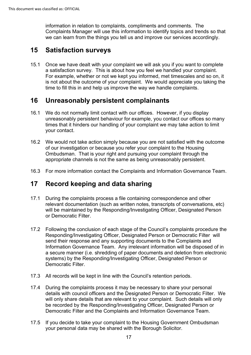information in relation to complaints, compliments and comments. The Complaints Manager will use this information to identify topics and trends so that we can learn from the things you tell us and improve our services accordingly.

## **15 Satisfaction surveys**

 is not about the outcome of your complaint. We would appreciate you taking the time to fill this in and help us improve the way we handle complaints. 15.1 Once we have dealt with your complaint we will ask you if you want to complete a satisfaction survey. This is about how you feel we handled your complaint. For example, whether or not we kept you informed, met timescales and so on, it

## **16 Unreasonably persistent complainants**

- 16.1 We do not normally limit contact with our offices. However, if you display unreasonably persistent behaviour for example, you contact our offices so many times that it hinders our handling of your complaint we may take action to limit your contact.
- 16.2 We would not take action simply because you are not satisfied with the outcome of our investigation or because you refer your complaint to the Housing Ombudsman. That is your right and pursuing your complaint through the appropriate channels is not the same as being unreasonably persistent.
- 16.3 For more information contact the Complaints and Information Governance Team.

## **17 Record keeping and data sharing**

- will be maintained by the Responding/Investigating Officer, Designated Person 17.1 During the complaints process a file containing correspondence and other relevant documentation (such as written notes, transcripts of conversations, etc) or Democratic Filter.
- Responding/Investigating Officer, Designated Person or Democratic Filter will 17.2 Following the conclusion of each stage of the Council's complaints procedure the send their response and any supporting documents to the Complaints and Information Governance Team. Any irrelevant information will be disposed of in a secure manner (i.e. shredding of paper documents and deletion from electronic systems) by the Responding/Investigating Officer, Designated Person or Democratic Filter.
- 17.3 All records will be kept in line with the Council's retention periods.
- 17.4 During the complaints process it may be necessary to share your personal details with council officers and the Designated Person or Democratic Filter. We will only share details that are relevant to your complaint. Such details will only be recorded by the Responding/Investigating Officer, Designated Person or Democratic Filter and the Complaints and Information Governance Team.
- your personal data may be shared with the Borough Solicitor. 17 17.5 If you decide to take your complaint to the Housing Government Ombudsman